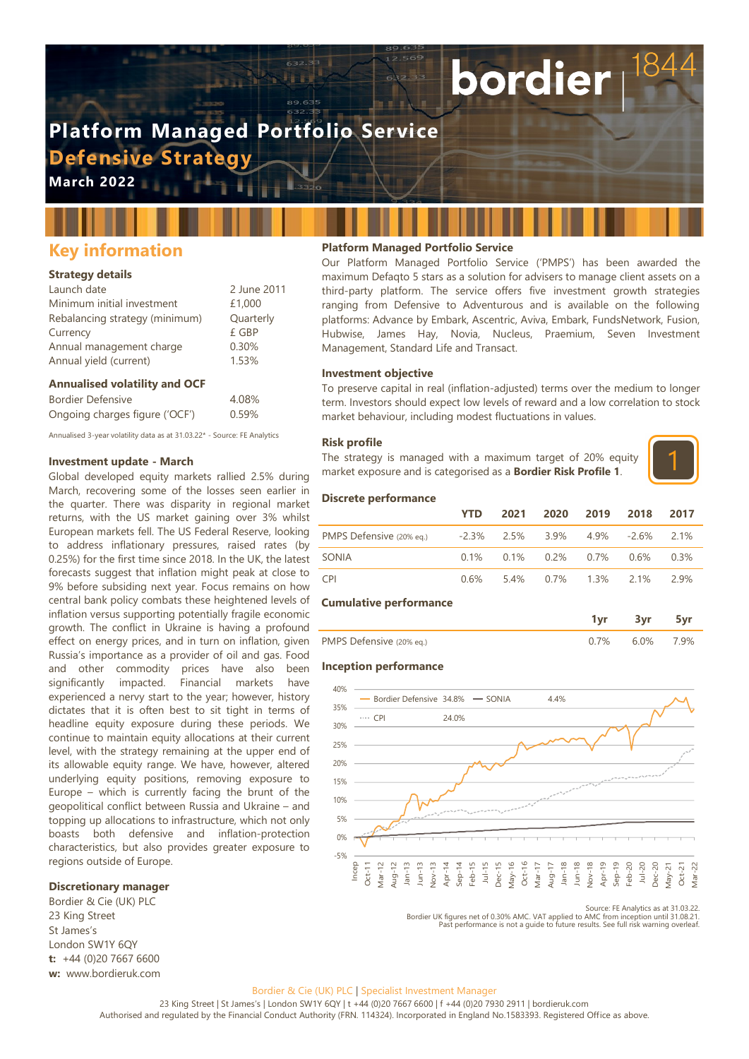# **Platform Managed Portfolio Service Defensive Strategy**

**March 2022**

## **Key information**

#### **Strategy details**

| Launch date                    | 2 June 2011 |
|--------------------------------|-------------|
| Minimum initial investment     | £1,000      |
| Rebalancing strategy (minimum) | Quarterly   |
| Currency                       | £ GBP       |
| Annual management charge       | 0.30%       |
| Annual yield (current)         | 1.53%       |

#### **Annualised volatility and OCF**

| Bordier Defensive              | 4.08% |
|--------------------------------|-------|
| Ongoing charges figure ('OCF') | 0.59% |

Annualised 3-year volatility data as at 31.03.22\* - Source: FE Analytics

#### **Investment update - March**

Global developed equity markets rallied 2.5% during March, recovering some of the losses seen earlier in the quarter. There was disparity in regional market returns, with the US market gaining over 3% whilst European markets fell. The US Federal Reserve, looking to address inflationary pressures, raised rates (by 0.25%) for the first time since 2018. In the UK, the latest forecasts suggest that inflation might peak at close to 9% before subsiding next year. Focus remains on how central bank policy combats these heightened levels of inflation versus supporting potentially fragile economic growth. The conflict in Ukraine is having a profound effect on energy prices, and in turn on inflation, given Russia's importance as a provider of oil and gas. Food and other commodity prices have also been significantly impacted. Financial markets have experienced a nervy start to the year; however, history dictates that it is often best to sit tight in terms of headline equity exposure during these periods. We continue to maintain equity allocations at their current level, with the strategy remaining at the upper end of its allowable equity range. We have, however, altered underlying equity positions, removing exposure to Europe – which is currently facing the brunt of the geopolitical conflict between Russia and Ukraine – and topping up allocations to infrastructure, which not only boasts both defensive and inflation-protection characteristics, but also provides greater exposure to regions outside of Europe.

Bordier & Cie (UK) PLC 23 King Street St James's London SW1Y 6QY **t:** +44 (0)20 7667 6600 **w:** www.bordieruk.com

#### **Platform Managed Portfolio Service**

Our Platform Managed Portfolio Service ('PMPS') has been awarded the maximum Defaqto 5 stars as a solution for advisers to manage client assets on a third-party platform. The service offers five investment growth strategies ranging from Defensive to Adventurous and is available on the following platforms: Advance by Embark, Ascentric, Aviva, Embark, FundsNetwork, Fusion, Hubwise, James Hay, Novia, Nucleus, Praemium, Seven Investment Management, Standard Life and Transact.

bordier

#### **Investment objective**

To preserve capital in real (inflation-adjusted) terms over the medium to longer term. Investors should expect low levels of reward and a low correlation to stock market behaviour, including modest fluctuations in values.

#### **Risk profile**

The strategy is managed with a maximum target of 20% equity market exposure and is categorised as a **Bordier Risk Profile 1**.



#### **Discrete performance**

|                                                             | <b>YTD</b> | 2021 2020 2019 2018 2017                        |  |        |
|-------------------------------------------------------------|------------|-------------------------------------------------|--|--------|
| PMPS Defensive (20% eq.) $-2.3\%$ 2.5% 3.9% 4.9% -2.6% 2.1% |            |                                                 |  |        |
| SONIA                                                       |            | $0.1\%$ $0.1\%$ $0.2\%$ $0.7\%$ $0.6\%$ $0.3\%$ |  |        |
| CPI <sup>-</sup>                                            | 0.6%       | 5.4% 0.7% 1.3% 2.1%                             |  | - 2 9% |

#### **Cumulative performance**

| PMPS Defensive (20% eq.) | (17% | 6.0% | 7.9% |
|--------------------------|------|------|------|

#### **Inception performance**



Source: FE Analytics as at 31.03.22.<br>Bordier UK figures net of 0.30% AMC. VAT applied to AMC from inception until 31.08.21.<br>Past performance is not a quide to future results. See full risk warning overleaf.

#### Bordier & Cie (UK) PLC | Specialist Investment Manager

23 King Street | St James's | London SW1Y 6QY | t +44 (0)20 7667 6600 | f +44 (0)20 7930 2911 | bordieruk.com Authorised and regulated by the Financial Conduct Authority (FRN. 114324). Incorporated in England No.1583393. Registered Office as above.